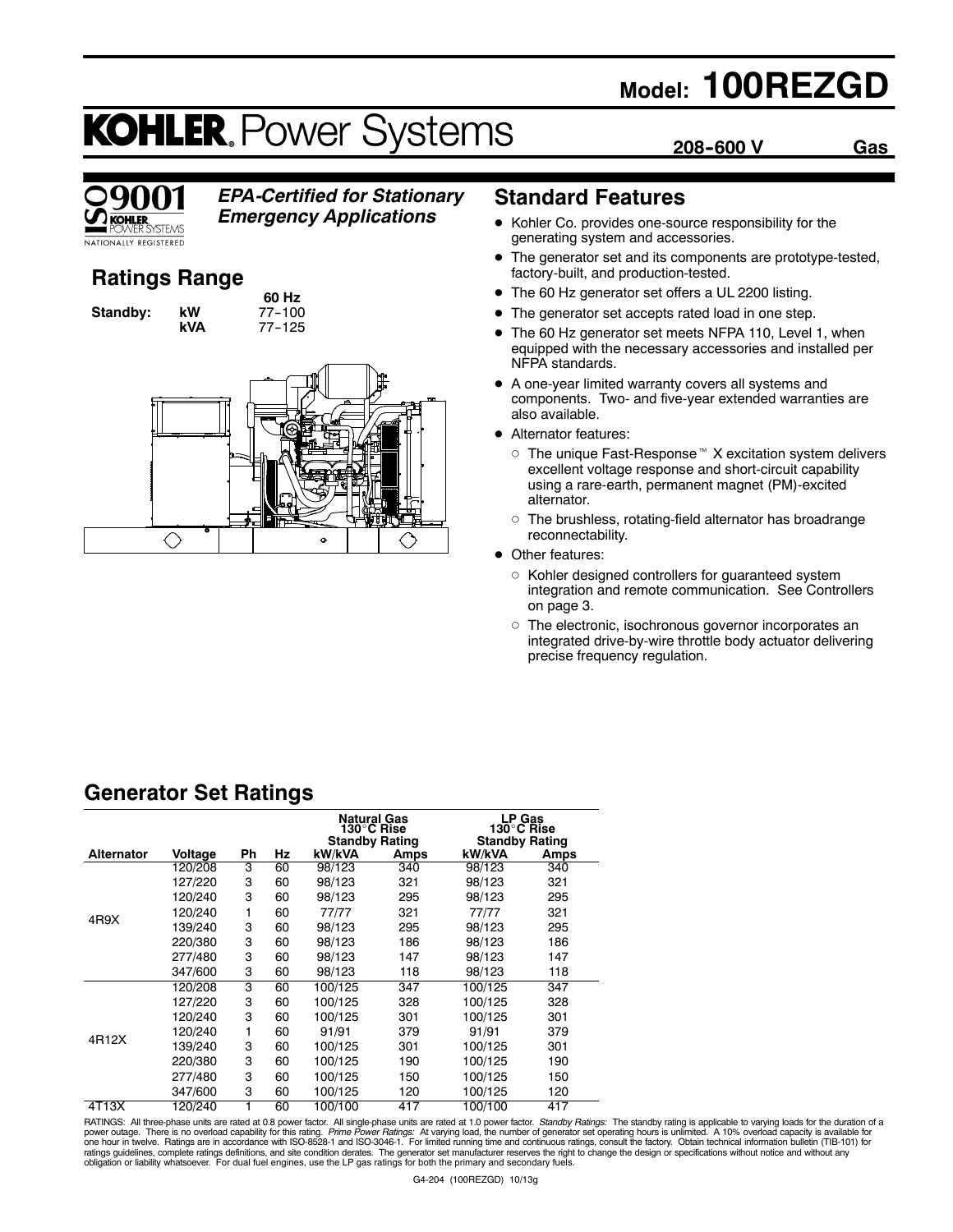## **Model: 100REZGD**

**208--600 V Gas**

# **KOHLER. Power Systems**



### *EPA-Certified for Stationary*

*Emergency Applications*

### **Ratings Range**

**Standby: kW** 

**60 Hz**<br>77-100 **kVA** 77--125



### **Standard Features**

- Kohler Co. provides one-source responsibility for the generating system and accessories.
- The generator set and its components are prototype-tested, factory-built, and production-tested.
- The 60 Hz generator set offers a UL 2200 listing.
- The generator set accepts rated load in one step.
- The 60 Hz generator set meets NFPA 110, Level 1, when equipped with the necessary accessories and installed per NFPA standards.
- A one-year limited warranty covers all systems and components. Two- and five-year extended warranties are also available.
- Alternator features:
	- $\circ$  The unique Fast-Response<sup> $M$ </sup> X excitation system delivers excellent voltage response and short-circuit capability using a rare-earth, permanent magnet (PM)-excited alternator.
	- $\circ$  The brushless, rotating-field alternator has broadrange reconnectability.
- Other features:
	- o Kohler designed controllers for guaranteed system integration and remote communication. See Controllers on page 3.
	- o The electronic, isochronous governor incorporates an integrated drive-by-wire throttle body actuator delivering precise frequency regulation.

### **Generator Set Ratings**

|                   |         |    |    | <b>Natural Gas</b><br>130°C Rise<br><b>Standby Rating</b> |      | LP Gas<br>130°C Rise<br><b>Standby Rating</b> |      |
|-------------------|---------|----|----|-----------------------------------------------------------|------|-----------------------------------------------|------|
| <b>Alternator</b> | Voltage | Ph | Hz | kW/kVA                                                    | Amps | kW/kVA                                        | Amps |
|                   | 120/208 | 3  | 60 | 98/123                                                    | 340  | 98/123                                        | 340  |
|                   | 127/220 | 3  | 60 | 98/123                                                    | 321  | 98/123                                        | 321  |
|                   | 120/240 | 3  | 60 | 98/123                                                    | 295  | 98/123                                        | 295  |
| 4R9X              | 120/240 | 1  | 60 | 77/77                                                     | 321  | 77/77                                         | 321  |
|                   | 139/240 | 3  | 60 | 98/123                                                    | 295  | 98/123                                        | 295  |
|                   | 220/380 | 3  | 60 | 98/123                                                    | 186  | 98/123                                        | 186  |
|                   | 277/480 | 3  | 60 | 98/123                                                    | 147  | 98/123                                        | 147  |
|                   | 347/600 | 3  | 60 | 98/123                                                    | 118  | 98/123                                        | 118  |
|                   | 120/208 | 3  | 60 | 100/125                                                   | 347  | 100/125                                       | 347  |
|                   | 127/220 | 3  | 60 | 100/125                                                   | 328  | 100/125                                       | 328  |
|                   | 120/240 | 3  | 60 | 100/125                                                   | 301  | 100/125                                       | 301  |
|                   | 120/240 | 1  | 60 | 91/91                                                     | 379  | 91/91                                         | 379  |
| 4R12X             | 139/240 | 3  | 60 | 100/125                                                   | 301  | 100/125                                       | 301  |
|                   | 220/380 | 3  | 60 | 100/125                                                   | 190  | 100/125                                       | 190  |
|                   | 277/480 | 3  | 60 | 100/125                                                   | 150  | 100/125                                       | 150  |
|                   | 347/600 | 3  | 60 | 100/125                                                   | 120  | 100/125                                       | 120  |
| 4T13X             | 120/240 |    | 60 | 100/100                                                   | 417  | 100/100                                       | 417  |

RATINGS: All three-phase units are rated at 0.8 power factor. All single-phase units are rated at 1.0 power factor. *Standby Ratings:* The standby rating is applicable to varying loads for the duration of a<br>power outage. T ratings guidelines, complete ratings definitions, and site condition derates. The generator set manufacturer reserves the right to change the design or specifications without notice and without any<br>obligation or liability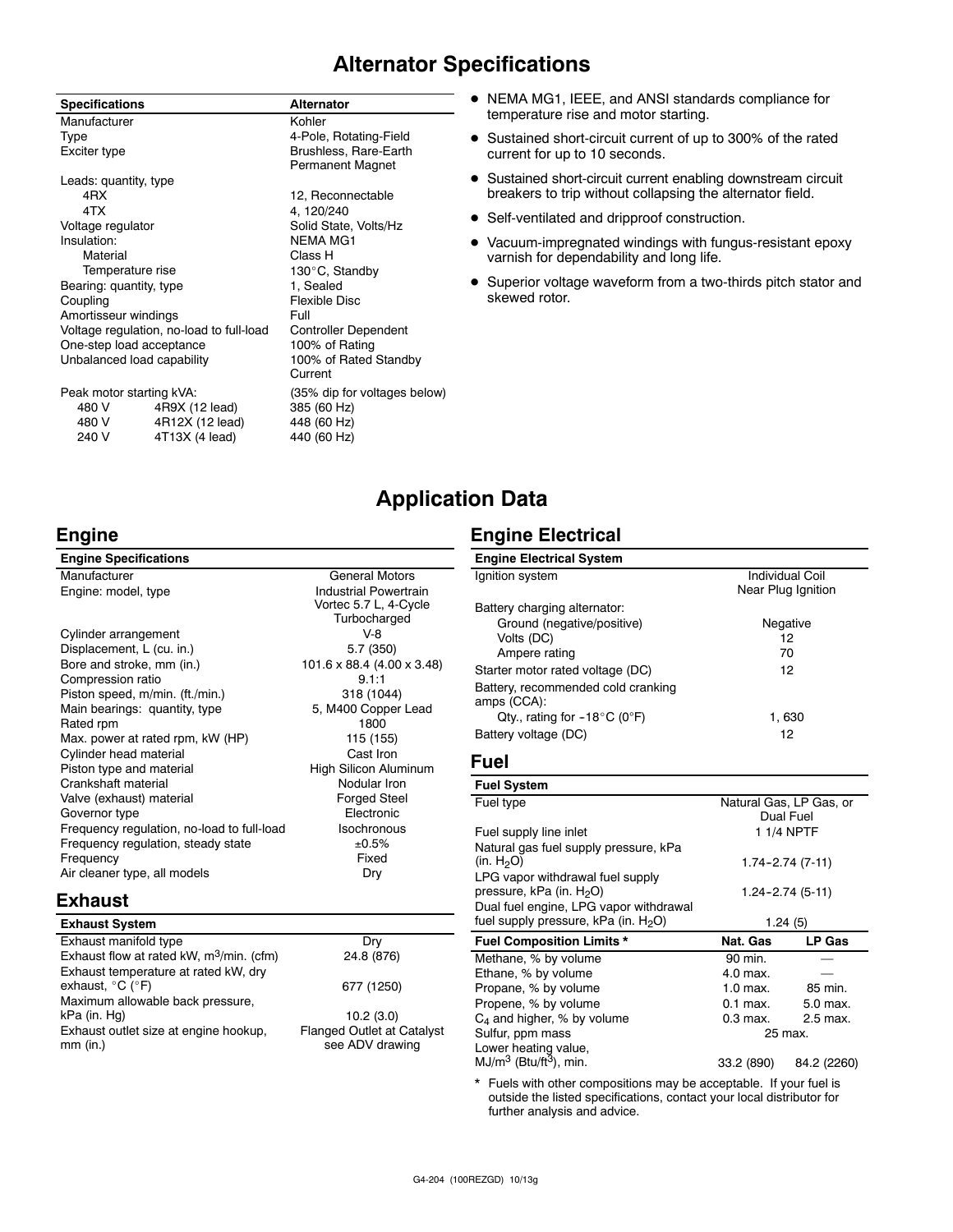### **Alternator Specifications**

| <b>Specifications</b>                    |                 | <b>Alternator</b>                         |
|------------------------------------------|-----------------|-------------------------------------------|
| Manufacturer                             |                 | Kohler                                    |
| Type                                     |                 | 4-Pole, Rotating-Field                    |
| Exciter type                             |                 | Brushless, Rare-Earth<br>Permanent Magnet |
| Leads: quantity, type                    |                 |                                           |
| 4RX                                      |                 | 12, Reconnectable                         |
| 4TX                                      |                 | 4, 120/240                                |
| Voltage regulator                        |                 | Solid State, Volts/Hz                     |
| Insulation:                              |                 | <b>NEMA MG1</b>                           |
| Material                                 |                 | Class H                                   |
| Temperature rise                         |                 | 130°C, Standby                            |
| Bearing: quantity, type                  |                 | 1, Sealed                                 |
| Coupling                                 |                 | Flexible Disc                             |
| Amortisseur windings                     |                 | Full                                      |
| Voltage regulation, no-load to full-load |                 | <b>Controller Dependent</b>               |
| One-step load acceptance                 |                 | 100% of Rating                            |
| Unbalanced load capability               |                 | 100% of Rated Standby<br>Current          |
| Peak motor starting kVA:                 |                 | (35% dip for voltages below)              |
| 480 V                                    | 4R9X (12 lead)  | 385 (60 Hz)                               |
| 480 V                                    | 4R12X (12 lead) | 448 (60 Hz)                               |
| 240 V                                    | 4T13X (4 lead)  | 440 (60 Hz)                               |

- $\bullet$  NEMA MG1, IEEE, and ANSI standards compliance for temperature rise and motor starting.
- Sustained short-circuit current of up to 300% of the rated current for up to 10 seconds.
- Sustained short-circuit current enabling downstream circuit breakers to trip without collapsing the alternator field.
- Self-ventilated and dripproof construction.
- $\bullet$  Vacuum-impregnated windings with fungus-resistant epoxy varnish for dependability and long life.
- Superior voltage waveform from a two-thirds pitch stator and skewed rotor.

### **Application Data**

### **Engine Electrical**

| <b>Engine Specifications</b>               |                              |
|--------------------------------------------|------------------------------|
| Manufacturer                               | <b>General Motors</b>        |
| Engine: model, type                        | <b>Industrial Powertrain</b> |
|                                            | Vortec 5.7 L, 4-Cycle        |
|                                            | Turbocharged                 |
| Cylinder arrangement                       | V-8                          |
| Displacement, L (cu. in.)                  | 5.7 (350)                    |
| Bore and stroke, mm (in.)                  | 101.6 x 88.4 (4.00 x 3.48)   |
| Compression ratio                          | 9.1:1                        |
| Piston speed, m/min. (ft./min.)            | 318 (1044)                   |
| Main bearings: quantity, type              | 5, M400 Copper Lead          |
| Rated rpm                                  | 1800                         |
| Max. power at rated rpm, kW (HP)           | 115 (155)                    |
| Cylinder head material                     | Cast Iron                    |
| Piston type and material                   | High Silicon Aluminum        |
| Crankshaft material                        | Nodular Iron                 |
| Valve (exhaust) material                   | <b>Forged Steel</b>          |
| Governor type                              | Electronic                   |
| Frequency regulation, no-load to full-load | <b>Isochronous</b>           |
| Frequency regulation, steady state         | ±0.5%                        |
| Frequency                                  | Fixed                        |
| Air cleaner type, all models               | Dry                          |
|                                            |                              |

#### **Exhaust**

**Engine**

| <b>Exhaust System</b>                                                         |                                                      |
|-------------------------------------------------------------------------------|------------------------------------------------------|
| Exhaust manifold type                                                         | Drv                                                  |
| Exhaust flow at rated kW, $m^3$ /min. (cfm)                                   | 24.8 (876)                                           |
| Exhaust temperature at rated kW, dry<br>exhaust, $^{\circ}$ C ( $^{\circ}$ F) | 677 (1250)                                           |
| Maximum allowable back pressure,                                              |                                                      |
| kPa (in. Hg)                                                                  | 10.2(3.0)                                            |
| Exhaust outlet size at engine hookup,<br>$mm$ (in.)                           | <b>Flanged Outlet at Catalyst</b><br>see ADV drawing |

| <b>Engine Electrical System</b>                   |                        |
|---------------------------------------------------|------------------------|
| Ignition system                                   | <b>Individual Coil</b> |
|                                                   | Near Plug Ignition     |
| Battery charging alternator:                      |                        |
| Ground (negative/positive)                        | Negative               |
| Volts (DC)                                        | 12                     |
| Ampere rating                                     | 70                     |
| Starter motor rated voltage (DC)                  | 12                     |
| Battery, recommended cold cranking<br>amps (CCA): |                        |
| Qty., rating for $-18^{\circ}$ C (0°F)            | 1,630                  |
| Battery voltage (DC)                              | 12                     |

#### **Fuel**

| <b>Fuel System</b>                                                       |                     |                                      |
|--------------------------------------------------------------------------|---------------------|--------------------------------------|
| Fuel type                                                                |                     | Natural Gas, LP Gas, or<br>Dual Fuel |
| Fuel supply line inlet                                                   |                     | 1 1/4 NPTF                           |
| Natural gas fuel supply pressure, kPa                                    |                     |                                      |
| (in. H <sub>2</sub> O)                                                   | $1.74 - 2.74(7-11)$ |                                      |
| LPG vapor withdrawal fuel supply<br>pressure, kPa (in. H <sub>2</sub> O) |                     | 1.24–2.74 (5-11)                     |
| Dual fuel engine, LPG vapor withdrawal                                   |                     |                                      |
| fuel supply pressure, kPa (in. $H_2O$ )                                  | 1.24(5)             |                                      |
| <b>Fuel Composition Limits *</b>                                         | Nat. Gas            | LP Gas                               |
| Methane, % by volume                                                     | 90 min.             |                                      |
| Ethane, % by volume                                                      | 4.0 max.            |                                      |
| Propane, % by volume                                                     | $1.0$ max.          | 85 min.                              |
| Propene, % by volume                                                     | $0.1$ max.          | 5.0 max.                             |
| $C_4$ and higher, % by volume                                            | 0.3 max.            | 2.5 max.                             |
| Sulfur, ppm mass                                                         | 25 max.             |                                      |
| Lower heating value,                                                     |                     |                                      |
| $MJ/m^3$ (Btu/ft <sup>3</sup> ), min.                                    | 33.2 (890)          | 84.2 (2260)                          |

\* Fuels with other compositions may be acceptable. If your fuel is outside the listed specifications, contact your local distributor for further analysis and advice.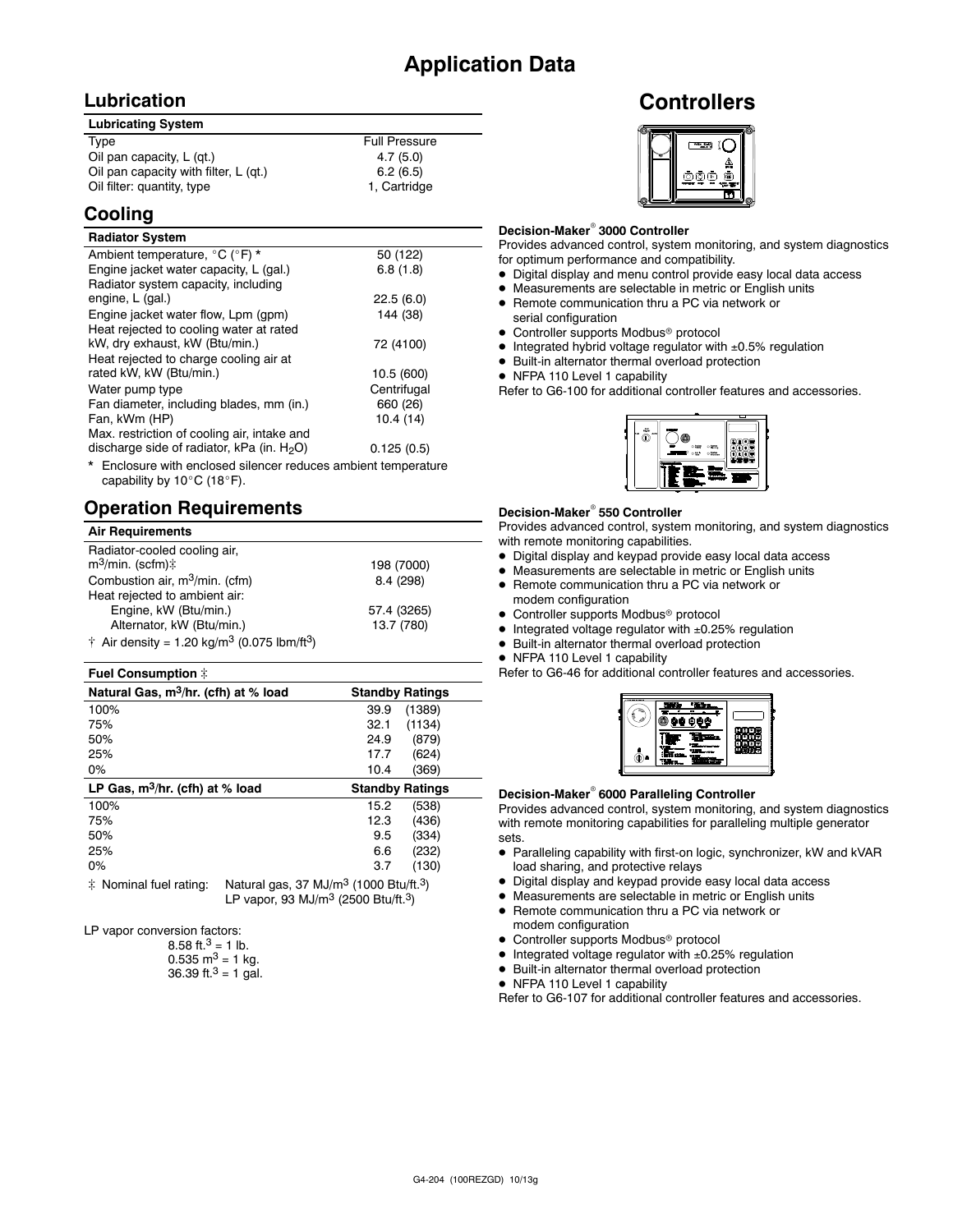#### **Lubrication**

| <b>Lubricating System</b>             |                      |
|---------------------------------------|----------------------|
| Type                                  | <b>Full Pressure</b> |
| Oil pan capacity, L (gt.)             | 4.7(5.0)             |
| Oil pan capacity with filter, L (qt.) | 6.2(6.5)             |
| Oil filter: quantity, type            | 1, Cartridge         |

### **Cooling**

#### **Radiator System**

| Ambient temperature, °C (°F) *                                 | 50 (122)    |
|----------------------------------------------------------------|-------------|
| Engine jacket water capacity, L (gal.)                         | 6.8(1.8)    |
| Radiator system capacity, including                            |             |
| engine, L (gal.)                                               | 22.5(6.0)   |
| Engine jacket water flow, Lpm (gpm)                            | 144 (38)    |
| Heat rejected to cooling water at rated                        |             |
| kW, dry exhaust, kW (Btu/min.)                                 | 72 (4100)   |
| Heat rejected to charge cooling air at                         |             |
| rated kW, kW (Btu/min.)                                        | 10.5 (600)  |
| Water pump type                                                | Centrifugal |
| Fan diameter, including blades, mm (in.)                       | 660 (26)    |
| Fan, kWm (HP)                                                  | 10.4(14)    |
| Max. restriction of cooling air, intake and                    |             |
| discharge side of radiator, kPa (in. $H_2O$ )                  | 0.125(0.5)  |
| * Englacure with anglesed eileneer reduces embient temperature |             |

Enclosure with enclosed silencer reduces ambient temperature capability by  $10^{\circ}$ C (18 $^{\circ}$ F).

### **Operation Requirements**

#### **Air Requirements**

| Radiator-cooled cooling air,<br>$m^3$ /min. (scfm) $\ddagger$               | 198 (7000)  |
|-----------------------------------------------------------------------------|-------------|
| Combustion air, $m^3/m$ in. (cfm)                                           | 8.4 (298)   |
| Heat rejected to ambient air:                                               |             |
| Engine, kW (Btu/min.)                                                       | 57.4 (3265) |
| Alternator, kW (Btu/min.)                                                   | 13.7 (780)  |
| $\dagger$ Air density = 1.20 kg/m <sup>3</sup> (0.075 lbm/ft <sup>3</sup> ) |             |

#### **Fuel Consumption**  $\ddot{\tau}$

| Natural Gas, m <sup>3</sup> /hr. (cfh) at % load | <b>Standby Ratings</b> |
|--------------------------------------------------|------------------------|
| 100%                                             | 39.9<br>(1389)         |
| 75%                                              | 32.1<br>(1134)         |
| 50%                                              | (879)<br>24.9          |
| 25%                                              | 17.7<br>(624)          |
| $0\%$                                            | 10.4<br>(369)          |
|                                                  |                        |
| LP Gas, $m^3/hr$ . (cfh) at % load               | <b>Standby Ratings</b> |
| 100%                                             | (538)<br>15.2          |
| 75%                                              | (436)<br>12.3          |
| 50%                                              | (334)<br>9.5           |
| 25%                                              | (232)<br>6.6           |
| $0\%$                                            | 3.7<br>(130)           |

 $\ddot{\text{F}}$  Nominal fuel rating: Natural gas, 37 MJ/m<sup>3</sup> (1000 Btu/ft.<sup>3</sup>) LP vapor, 93 MJ/m3 (2500 Btu/ft.3)

LP vapor conversion factors:

| 8.58 ft. <sup>3</sup> = 1 lb.        |
|--------------------------------------|
| $0.535 \text{ m}^3 = 1 \text{ kg}$ . |
| 36.39 ft. $3 = 1$ gal.               |

### **Controllers**



#### **Decision-Maker<sup>®</sup> 3000 Controller**

Provides advanced control, system monitoring, and system diagnostics for optimum performance and compatibility.

- $\bullet$  Digital display and menu control provide easy local data access
- $\bullet$  Measurements are selectable in metric or English units
- Remote communication thru a PC via network or serial configuration
- Controller supports Modbus<sup>®</sup> protocol
- $\bullet$  Integrated hybrid voltage regulator with  $\pm 0.5\%$  regulation
- $\bullet$  Built-in alternator thermal overload protection
- NFPA 110 Level 1 capability

Refer to G6-100 for additional controller features and accessories.



#### **Decision-Maker<sup>®</sup> 550 Controller**

Provides advanced control, system monitoring, and system diagnostics with remote monitoring capabilities.

- $\bullet$  Digital display and keypad provide easy local data access
- Measurements are selectable in metric or English units
- Remote communication thru a PC via network or modem configuration
- $\bullet$  Controller supports Modbus<sup>®</sup> protocol
- $\bullet$  Integrated voltage regulator with  $\pm 0.25\%$  regulation
- $\bullet$  Built-in alternator thermal overload protection
- NFPA 110 Level 1 capability

Refer to G6-46 for additional controller features and accessories.



#### **Decision-Maker<sup>®</sup> 6000 Paralleling Controller**

Provides advanced control, system monitoring, and system diagnostics with remote monitoring capabilities for paralleling multiple generator sets.

- Paralleling capability with first-on logic, synchronizer, kW and kVAR load sharing, and protective relays
- $\bullet$  Digital display and keypad provide easy local data access
- $\bullet$  Measurements are selectable in metric or English units
- Remote communication thru a PC via network or
- modem configuration
- Controller supports Modbus<sup>®</sup> protocol
- $\bullet$  Integrated voltage regulator with  $\pm 0.25\%$  regulation
- $\bullet$  Built-in alternator thermal overload protection
- NFPA 110 Level 1 capability

Refer to G6-107 for additional controller features and accessories.